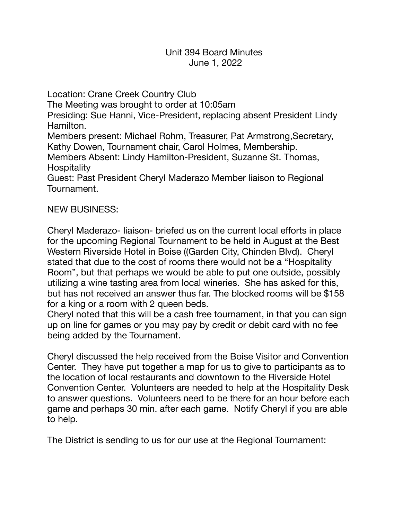Location: Crane Creek Country Club The Meeting was brought to order at 10:05am Presiding: Sue Hanni, Vice-President, replacing absent President Lindy Hamilton. Members present: Michael Rohm, Treasurer, Pat Armstrong,Secretary, Kathy Dowen, Tournament chair, Carol Holmes, Membership. Members Absent: Lindy Hamilton-President, Suzanne St. Thomas, Hospitality Guest: Past President Cheryl Maderazo Member liaison to Regional Tournament.

## NEW BUSINESS:

Cheryl Maderazo- liaison- briefed us on the current local efforts in place for the upcoming Regional Tournament to be held in August at the Best Western Riverside Hotel in Boise ((Garden City, Chinden Blvd). Cheryl stated that due to the cost of rooms there would not be a "Hospitality Room", but that perhaps we would be able to put one outside, possibly utilizing a wine tasting area from local wineries. She has asked for this, but has not received an answer thus far. The blocked rooms will be \$158 for a king or a room with 2 queen beds.

Cheryl noted that this will be a cash free tournament, in that you can sign up on line for games or you may pay by credit or debit card with no fee being added by the Tournament.

Cheryl discussed the help received from the Boise Visitor and Convention Center. They have put together a map for us to give to participants as to the location of local restaurants and downtown to the Riverside Hotel Convention Center. Volunteers are needed to help at the Hospitality Desk to answer questions. Volunteers need to be there for an hour before each game and perhaps 30 min. after each game. Notify Cheryl if you are able to help.

The District is sending to us for our use at the Regional Tournament: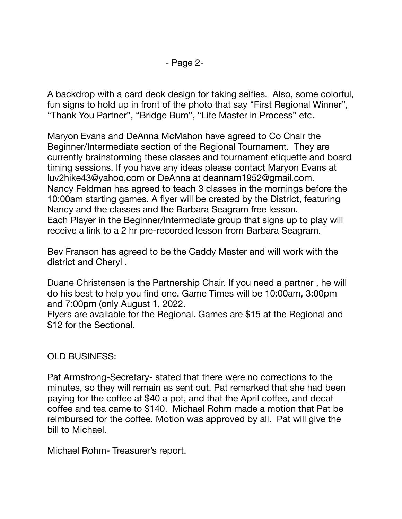A backdrop with a card deck design for taking selfies. Also, some colorful, fun signs to hold up in front of the photo that say "First Regional Winner", "Thank You Partner", "Bridge Bum", "Life Master in Process" etc.

Maryon Evans and DeAnna McMahon have agreed to Co Chair the Beginner/Intermediate section of the Regional Tournament. They are currently brainstorming these classes and tournament etiquette and board timing sessions. If you have any ideas please contact Maryon Evans at [luv2hike43@yahoo.com](mailto:luv2hike43@yahoo.com) or DeAnna at deannam1952@gmail.com. Nancy Feldman has agreed to teach 3 classes in the mornings before the 10:00am starting games. A flyer will be created by the District, featuring Nancy and the classes and the Barbara Seagram free lesson. Each Player in the Beginner/Intermediate group that signs up to play will receive a link to a 2 hr pre-recorded lesson from Barbara Seagram.

Bev Franson has agreed to be the Caddy Master and will work with the district and Cheryl .

Duane Christensen is the Partnership Chair. If you need a partner , he will do his best to help you find one. Game Times will be 10:00am, 3:00pm and 7:00pm (only August 1, 2022.

Flyers are available for the Regional. Games are \$15 at the Regional and \$12 for the Sectional.

OLD BUSINESS:

Pat Armstrong-Secretary- stated that there were no corrections to the minutes, so they will remain as sent out. Pat remarked that she had been paying for the coffee at \$40 a pot, and that the April coffee, and decaf coffee and tea came to \$140. Michael Rohm made a motion that Pat be reimbursed for the coffee. Motion was approved by all. Pat will give the bill to Michael.

Michael Rohm- Treasurer's report.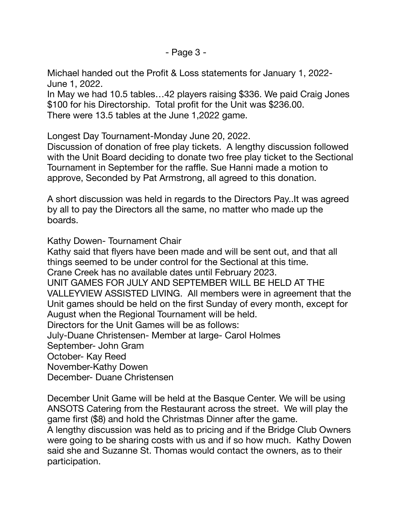Michael handed out the Profit & Loss statements for January 1, 2022- June 1, 2022.

In May we had 10.5 tables…42 players raising \$336. We paid Craig Jones \$100 for his Directorship. Total profit for the Unit was \$236.00. There were 13.5 tables at the June 1,2022 game.

Longest Day Tournament-Monday June 20, 2022.

Discussion of donation of free play tickets. A lengthy discussion followed with the Unit Board deciding to donate two free play ticket to the Sectional Tournament in September for the raffle. Sue Hanni made a motion to approve, Seconded by Pat Armstrong, all agreed to this donation.

A short discussion was held in regards to the Directors Pay..It was agreed by all to pay the Directors all the same, no matter who made up the boards.

Kathy Dowen- Tournament Chair

Kathy said that flyers have been made and will be sent out, and that all things seemed to be under control for the Sectional at this time. Crane Creek has no available dates until February 2023. UNIT GAMES FOR JULY AND SEPTEMBER WILL BE HELD AT THE VALLEYVIEW ASSISTED LIVING. All members were in agreement that the Unit games should be held on the first Sunday of every month, except for August when the Regional Tournament will be held. Directors for the Unit Games will be as follows: July-Duane Christensen- Member at large- Carol Holmes September- John Gram October- Kay Reed November-Kathy Dowen December- Duane Christensen

December Unit Game will be held at the Basque Center. We will be using ANSOTS Catering from the Restaurant across the street. We will play the game first (\$8) and hold the Christmas Dinner after the game. A lengthy discussion was held as to pricing and if the Bridge Club Owners were going to be sharing costs with us and if so how much. Kathy Dowen said she and Suzanne St. Thomas would contact the owners, as to their participation.